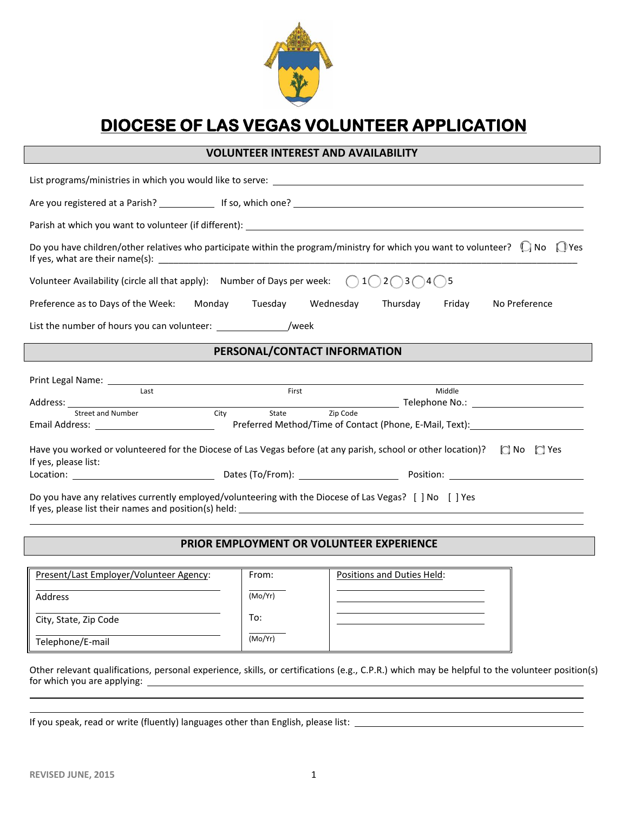

# **DIOCESE OF LAS VEGAS VOLUNTEER APPLICATION**

# **VOLUNTEER INTEREST AND AVAILABILITY**

| List programs/ministries in which you would like to serve: Later and the control of the control of the control of the control of the control of the control of the control of the control of the control of the control of the |                                                                                  |  |        |               |  |
|--------------------------------------------------------------------------------------------------------------------------------------------------------------------------------------------------------------------------------|----------------------------------------------------------------------------------|--|--------|---------------|--|
|                                                                                                                                                                                                                                |                                                                                  |  |        |               |  |
|                                                                                                                                                                                                                                |                                                                                  |  |        |               |  |
| Do you have children/other relatives who participate within the program/ministry for which you want to volunteer? $\bigcirc$ No $\bigcirc$ Yes                                                                                 |                                                                                  |  |        |               |  |
| Volunteer Availability (circle all that apply): Number of Days per week: $\bigcirc$ 1 $\bigcirc$ 2 $\bigcirc$ 3 $\bigcirc$ 4 $\bigcirc$ 5                                                                                      |                                                                                  |  |        |               |  |
| Preference as to Days of the Week: Monday Tuesday Wednesday Thursday Friday                                                                                                                                                    |                                                                                  |  |        | No Preference |  |
| List the number of hours you can volunteer: //week                                                                                                                                                                             |                                                                                  |  |        |               |  |
| PERSONAL/CONTACT INFORMATION                                                                                                                                                                                                   |                                                                                  |  |        |               |  |
|                                                                                                                                                                                                                                |                                                                                  |  |        |               |  |
| Last                                                                                                                                                                                                                           | First                                                                            |  | Middle |               |  |
|                                                                                                                                                                                                                                |                                                                                  |  |        |               |  |
| Street and Number                                                                                                                                                                                                              | Zip Code<br>City<br>State                                                        |  |        |               |  |
|                                                                                                                                                                                                                                | Preferred Method/Time of Contact (Phone, E-Mail, Text): ________________________ |  |        |               |  |
| Have you worked or volunteered for the Diocese of Las Vegas before (at any parish, school or other location)? $\Box$ No $\Box$ Yes<br>If yes, please list:                                                                     |                                                                                  |  |        |               |  |
|                                                                                                                                                                                                                                |                                                                                  |  |        |               |  |
| Do you have any relatives currently employed/volunteering with the Diocese of Las Vegas? [ ] No [ ] Yes                                                                                                                        |                                                                                  |  |        |               |  |

### **PRIOR EMPLOYMENT OR VOLUNTEER EXPERIENCE**

| Present/Last Employer/Volunteer Agency: | From:   | Positions and Duties Held: |
|-----------------------------------------|---------|----------------------------|
| Address                                 | (Mo/Yr) |                            |
| City, State, Zip Code                   | To:     |                            |
| Telephone/E-mail                        | (Mo/Yr) |                            |

Other relevant qualifications, personal experience, skills, or certifications (e.g., C.P.R.) which may be helpful to the volunteer position(s) for which you are applying:

If you speak, read or write (fluently) languages other than English, please list: \_\_\_\_\_\_\_\_\_\_\_\_\_\_\_\_\_\_\_\_\_\_\_\_\_\_\_\_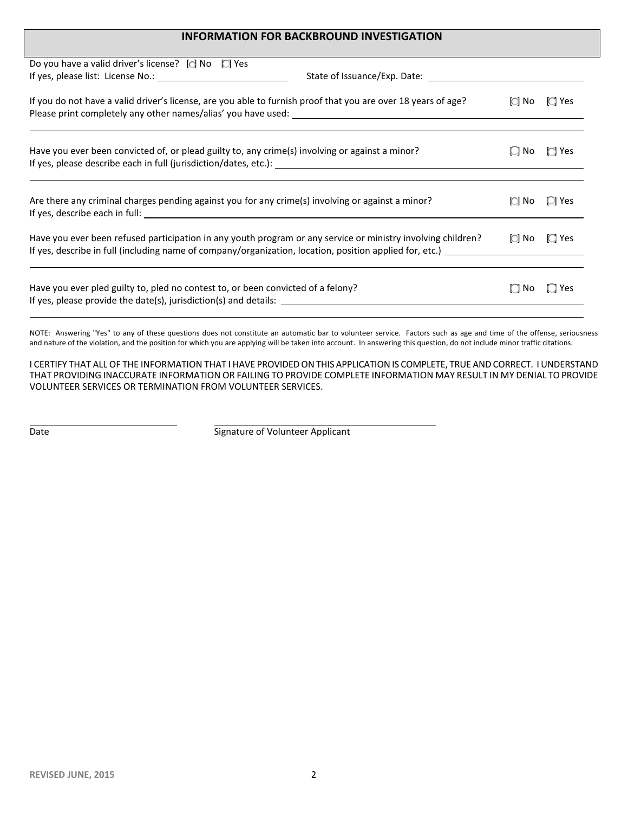## **INFORMATION FOR BACKBROUND INVESTIGATION**

| Do you have a valid driver's license? $\Box$ No $\Box$ Yes                                                    |           |            |
|---------------------------------------------------------------------------------------------------------------|-----------|------------|
|                                                                                                               |           |            |
| If you do not have a valid driver's license, are you able to furnish proof that you are over 18 years of age? | iCÌ No    | $\Box$ Yes |
| Have you ever been convicted of, or plead guilty to, any crime(s) involving or against a minor?               | $\Box$ No | $\Box$ Yes |
| Are there any criminal charges pending against you for any crime(s) involving or against a minor?             |           | $\Box$ Yes |
| Have you ever been refused participation in any youth program or any service or ministry involving children?  |           | $\Box$ Yes |
| Have you ever pled guilty to, pled no contest to, or been convicted of a felony?                              | $\Box$ No | $\Box$ Yes |

NOTE: Answering "Yes" to any of these questions does not constitute an automatic bar to volunteer service. Factors such as age and time of the offense, seriousness and nature of the violation, and the position for which you are applying will be taken into account. In answering this question, do not include minor traffic citations.

I CERTIFY THAT ALL OF THE INFORMATION THAT I HAVE PROVIDED ON THIS APPLICATION IS COMPLETE, TRUE AND CORRECT. I UNDERSTAND THAT PROVIDING INACCURATE INFORMATION OR FAILING TO PROVIDE COMPLETE INFORMATION MAY RESULT IN MY DENIAL TO PROVIDE VOLUNTEER SERVICES OR TERMINATION FROM VOLUNTEER SERVICES.

Date **Signature of Volunteer Applicant**